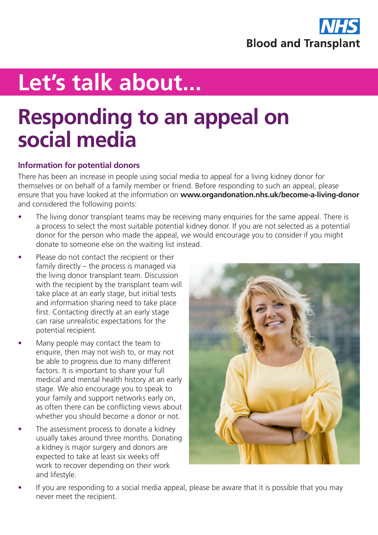

# **Let's talk about...**

## **Responding to an appeal on social media**

### **Information for potential donors**

There has been an increase in people using social media to appeal for a living kidney donor for themselves or on behalf of a family member or friend. Before responding to such an appeal, please ensure that you have looked at the information on **[www.organdonation.nhs.uk/become-a-living-donor](https://www.organdonation.nhs.uk/become-a-living-donor)** and considered the following points:

- The living donor transplant teams may be receiving many enquiries for the same appeal. There is a process to select the most suitable potential kidney donor. If you are not selected as a potential donor for the person who made the appeal, we would encourage you to consider if you might donate to someone else on the waiting list instead.
- Please do not contact the recipient or their family directly – the process is managed via the living donor transplant team. Discussion with the recipient by the transplant team will take place at an early stage, but initial tests and information sharing need to take place first. Contacting directly at an early stage can raise unrealistic expectations for the potential recipient.
- Many people may contact the team to enquire, then may not wish to, or may not be able to progress due to many different factors. It is important to share your full medical and mental health history at an early stage. We also encourage you to speak to your family and support networks early on, as often there can be conflicting views about whether you should become a donor or not.
- The assessment process to donate a kidney usually takes around three months. Donating a kidney is major surgery and donors are expected to take at least six weeks off work to recover depending on their work and lifestyle.



If you are responding to a social media appeal, please be aware that it is possible that you may never meet the recipient.